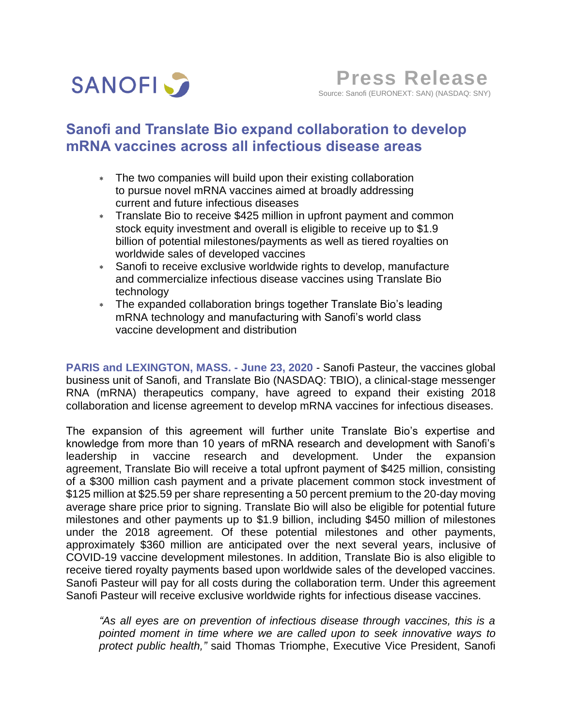

# **Sanofi and Translate Bio expand collaboration to develop mRNA vaccines across all infectious disease areas**

- The two companies will build upon their existing collaboration to pursue novel mRNA vaccines aimed at broadly addressing current and future infectious diseases
- Translate Bio to receive \$425 million in upfront payment and common stock equity investment and overall is eligible to receive up to \$1.9 billion of potential milestones/payments as well as tiered royalties on worldwide sales of developed vaccines
- Sanofi to receive exclusive worldwide rights to develop, manufacture and commercialize infectious disease vaccines using Translate Bio technology
- The expanded collaboration brings together Translate Bio's leading mRNA technology and manufacturing with Sanofi's world class vaccine development and distribution

**PARIS and LEXINGTON, MASS. - June 23, 2020** - Sanofi Pasteur, the vaccines global business unit of Sanofi, and Translate Bio (NASDAQ: TBIO), a clinical-stage messenger RNA (mRNA) therapeutics company, have agreed to expand their existing 2018 collaboration and license agreement to develop mRNA vaccines for infectious diseases.

The expansion of this agreement will further unite Translate Bio's expertise and knowledge from more than 10 years of mRNA research and development with Sanofi's leadership in vaccine research and development. Under the expansion agreement, Translate Bio will receive a total upfront payment of \$425 million, consisting of a \$300 million cash payment and a private placement common stock investment of \$125 million at \$25.59 per share representing a 50 percent premium to the 20-day moving average share price prior to signing. Translate Bio will also be eligible for potential future milestones and other payments up to \$1.9 billion, including \$450 million of milestones under the 2018 agreement. Of these potential milestones and other payments, approximately \$360 million are anticipated over the next several years, inclusive of COVID-19 vaccine development milestones. In addition, Translate Bio is also eligible to receive tiered royalty payments based upon worldwide sales of the developed vaccines. Sanofi Pasteur will pay for all costs during the collaboration term. Under this agreement Sanofi Pasteur will receive exclusive worldwide rights for infectious disease vaccines.

*"As all eyes are on prevention of infectious disease through vaccines, this is a pointed moment in time where we are called upon to seek innovative ways to protect public health,"* said Thomas Triomphe, Executive Vice President, Sanofi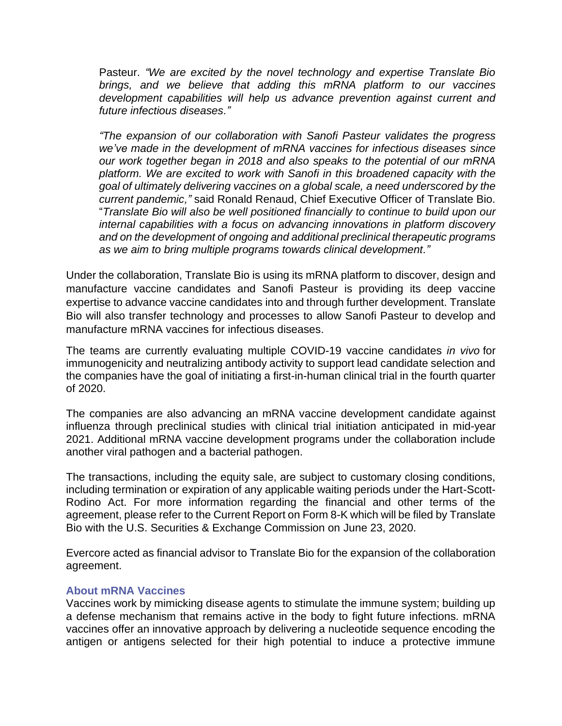Pasteur. *"We are excited by the novel technology and expertise Translate Bio brings, and we believe that adding this mRNA platform to our vaccines development capabilities will help us advance prevention against current and future infectious diseases."*

*"The expansion of our collaboration with Sanofi Pasteur validates the progress we've made in the development of mRNA vaccines for infectious diseases since our work together began in 2018 and also speaks to the potential of our mRNA platform. We are excited to work with Sanofi in this broadened capacity with the goal of ultimately delivering vaccines on a global scale, a need underscored by the current pandemic,"* said Ronald Renaud, Chief Executive Officer of Translate Bio. "*Translate Bio will also be well positioned financially to continue to build upon our internal capabilities with a focus on advancing innovations in platform discovery and on the development of ongoing and additional preclinical therapeutic programs as we aim to bring multiple programs towards clinical development."*

Under the collaboration, Translate Bio is using its mRNA platform to discover, design and manufacture vaccine candidates and Sanofi Pasteur is providing its deep vaccine expertise to advance vaccine candidates into and through further development. Translate Bio will also transfer technology and processes to allow Sanofi Pasteur to develop and manufacture mRNA vaccines for infectious diseases.

The teams are currently evaluating multiple COVID-19 vaccine candidates *in vivo* for immunogenicity and neutralizing antibody activity to support lead candidate selection and the companies have the goal of initiating a first-in-human clinical trial in the fourth quarter of 2020.

The companies are also advancing an mRNA vaccine development candidate against influenza through preclinical studies with clinical trial initiation anticipated in mid-year 2021. Additional mRNA vaccine development programs under the collaboration include another viral pathogen and a bacterial pathogen.

The transactions, including the equity sale, are subject to customary closing conditions, including termination or expiration of any applicable waiting periods under the Hart-Scott-Rodino Act. For more information regarding the financial and other terms of the agreement, please refer to the Current Report on Form 8-K which will be filed by Translate Bio with the U.S. Securities & Exchange Commission on June 23, 2020.

Evercore acted as financial advisor to Translate Bio for the expansion of the collaboration agreement.

## **About mRNA Vaccines**

Vaccines work by mimicking disease agents to stimulate the immune system; building up a defense mechanism that remains active in the body to fight future infections. mRNA vaccines offer an innovative approach by delivering a nucleotide sequence encoding the antigen or antigens selected for their high potential to induce a protective immune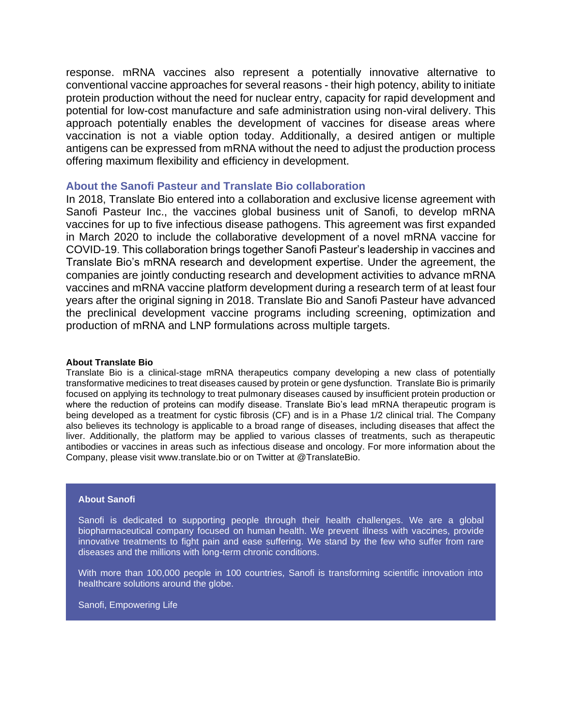response. mRNA vaccines also represent a potentially innovative alternative to conventional vaccine approaches for several reasons - their high potency, ability to initiate protein production without the need for nuclear entry, capacity for rapid development and potential for low-cost manufacture and safe administration using non-viral delivery. This approach potentially enables the development of vaccines for disease areas where vaccination is not a viable option today. Additionally, a desired antigen or multiple antigens can be expressed from mRNA without the need to adjust the production process offering maximum flexibility and efficiency in development.

## **About the Sanofi Pasteur and Translate Bio collaboration**

In 2018, Translate Bio entered into a collaboration and exclusive license agreement with Sanofi Pasteur Inc., the vaccines global business unit of Sanofi, to develop mRNA vaccines for up to five infectious disease pathogens. This agreement was first expanded in March 2020 to include the collaborative development of a novel mRNA vaccine for COVID-19. This collaboration brings together Sanofi Pasteur's leadership in vaccines and Translate Bio's mRNA research and development expertise. Under the agreement, the companies are jointly conducting research and development activities to advance mRNA vaccines and mRNA vaccine platform development during a research term of at least four years after the original signing in 2018. Translate Bio and Sanofi Pasteur have advanced the preclinical development vaccine programs including screening, optimization and production of mRNA and LNP formulations across multiple targets.

#### **About Translate Bio**

Translate Bio is a clinical-stage mRNA therapeutics company developing a new class of potentially transformative medicines to treat diseases caused by protein or gene dysfunction. Translate Bio is primarily focused on applying its technology to treat pulmonary diseases caused by insufficient protein production or where the reduction of proteins can modify disease. Translate Bio's lead mRNA therapeutic program is being developed as a treatment for cystic fibrosis (CF) and is in a Phase 1/2 clinical trial. The Company also believes its technology is applicable to a broad range of diseases, including diseases that affect the liver. Additionally, the platform may be applied to various classes of treatments, such as therapeutic antibodies or vaccines in areas such as infectious disease and oncology. For more information about the Company, please visit www.translate.bio or on Twitter at @TranslateBio.

### **About Sanofi**

Sanofi is dedicated to supporting people through their health challenges. We are a global biopharmaceutical company focused on human health. We prevent illness with vaccines, provide innovative treatments to fight pain and ease suffering. We stand by the few who suffer from rare diseases and the millions with long-term chronic conditions.

With more than 100,000 people in 100 countries, Sanofi is transforming scientific innovation into healthcare solutions around the globe.

Sanofi, Empowering Life